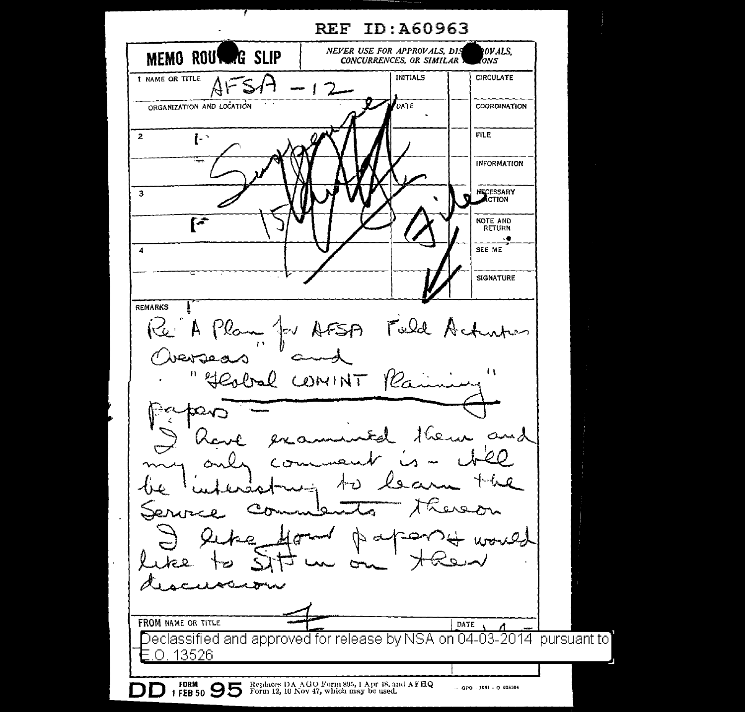**REF ID: A60963** NEVER USE FOR APPROVALS, DIS OVALS. MEMO ROUTERG SLIP CONCURRENCES, OR SIMILAR ONS INITIALS CIRCULATE 1 NAME OR TITLE  $4r$ ORGANIZATION AND LOCATION DATE COORDINATION **FILE**  $\overline{2}$  $\mathbf{L}$ **INFORMATION** NECESSARY  $\overline{3}$  $\bar{r}$ NOTE AND **RETURN**  $\overline{a}$  $\overline{4}$ SEE ME **SIGNATURE REMARKS** Fuld Ac Re A Plan for AFSA Viergeas  $\mathbf{t}$  $\mathbf{H}$ Geobal COMINT  $\ell$  $16$ ense  $and$ Q ↗ rowed a-C. FROM NAME OR TITLE DATE [1] Declassified and approved for release by NSA on 04-03-2014 pursuant to 13526 **FORM** Replaces DA AGO Form 895, 1 Apr 48, and AFHQ<br>Form 12, 10 Nov 47, which may be used. 1 FEB 50 95  $\therefore$  GPO  $.1951 - O.925564$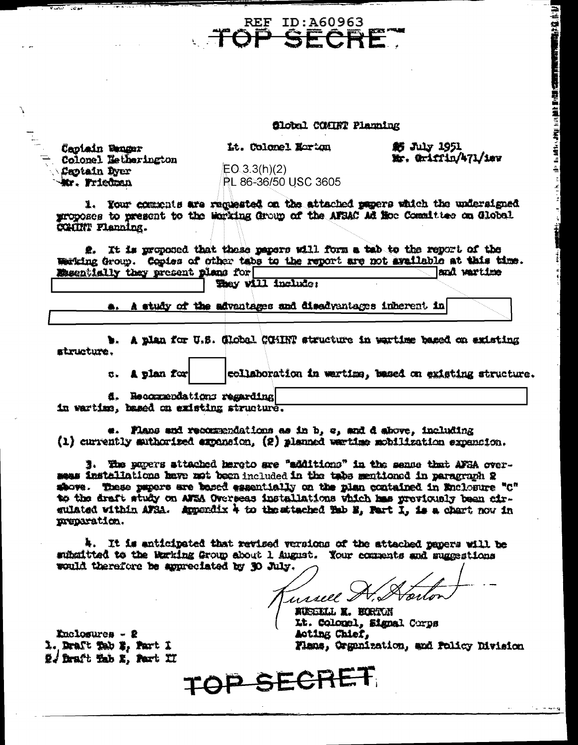filobal COMINT Planning

Captain Denger Colonel Letherington Caotain Dyer Mr. Friedman

 $\overline{u}$ 

Lt. Colonel Norton

**REF ID:A60963** 

SECRE

**虧 July 1951** Mr. Griffin/471/1ev (主) 法法律

LE RESERVE DE LA SANTA LA MARIA DE LA MARIA DE LA MARIA DE LA MARIA DE LA MARIA DE LA MARIA DE LA MARIA DE LA MARIA DE LA MARIA DE LA MARIA DE LA MARIA DE LA MARIA DE LA MARIA DE LA MARIA DE LA MARIA DE LA MARIA DE LA MARI

 $EQ_33(h)(2)$ PL 86-36/50 USC 3605

1. Your comments are requested on the attached papers which the undersigned proposes to present to the Morking Group of the AFSAC Ad Hoe Committee on Global COMUNT Flanning.

2. It is proposed that these papers will form a tab to the report of the Warking Group. Copies of other tabs to the report are not available at this time. and wartime Essentially they present plans for They vill include:

a. A study of the advantages and disadvantages inherent in

b. A plan for U.S. Global COMINT structure in wartime based on existing structure.

> collaboration in wartims, based on existing structure. c. A plan for

4. Recorrendations regarding in wartime, hased on existing structure.

e. Flans and recommendations as in b, c, and d above, including  $(1)$  currently suthorized expansion,  $(2)$  planned warting mobilization expansion.

3. The papers attached hereto are "additions" in the sense that AFBA overseas installations have not been included in the tabs mentioned in paragraph 2 showe. These papers are based essentially on the plan contained in Enclosure "C" to the draft study on AFSA Overseas installations which has previously been cirgulated within AFRA. Appendix 4 to the stached Tab B, Fart I, is a chart now in preparation.

4. It is anticipated that revised versions of the attached papers will be subsitted to the Marking Group about 1 August. Your comments and suggestions would therefore be appreciated by 30 July.

ussell. I  $\overline{\mathscr{L}}$ 

RUSSELL X. BORTON Lt. Colonel, Signal Corps Acting Chief. Flans, Organization, and Policy Division

 $k$ nclosures - 2 1. Draft Tab #, Fart 1 2. Draft Tab E, Part II

TOP SECRET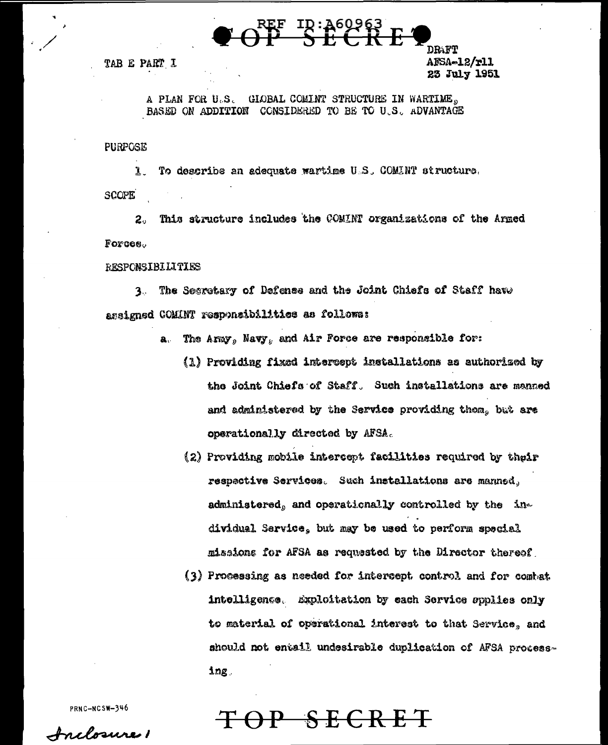$\frac{10:860963}{10}$ 

TAB E PART I

DRAFT AFSA-12/r11 23 July 1951

A PLAN FOR U.S. GIOBAL COMINT STRUCTURE IN WARTIME. BASED ON ADDITION CONSIDERED TO BE TO U.S. ADVANTAGE

**PURPOSE** 

 $\mathbf{r}$ To describe an adequate wartime U.S. COMINT structure. **SCOPE** 

This structure includes the COMINT organizations of the Armed  $2<sub>o</sub>$ Forces.

**RESPONSIBILITIES** 

3. The Segretary of Defense and the Joint Chiefs of Staff have assigned COMINT responsibilities as follows:

- a. The Aray, Navy, and Air Force are responsible for:
	- (1) Providing fixed intercept installations as authorized by the Joint Chiefs of Staff. Such installations are manned and administered by the Service providing them. but are operationally directed by AFSA.
	- (2) Providing mobile intercent facilities required by their respective Services. Such installations are manned, administered, and operationally controlled by the individual Service, but may be used to perform special missions for AFSA as requested by the Director thereof.
	- (3) Processing as needed for intercept control and for combat intelligence. Exploitation by each Service epplies only to material of operational interest to that Service, and should not entail undesirable duplication of AFSA process- $\ln g$

SECRET

PRNC-NCSW-346

<u>Anclosure</u>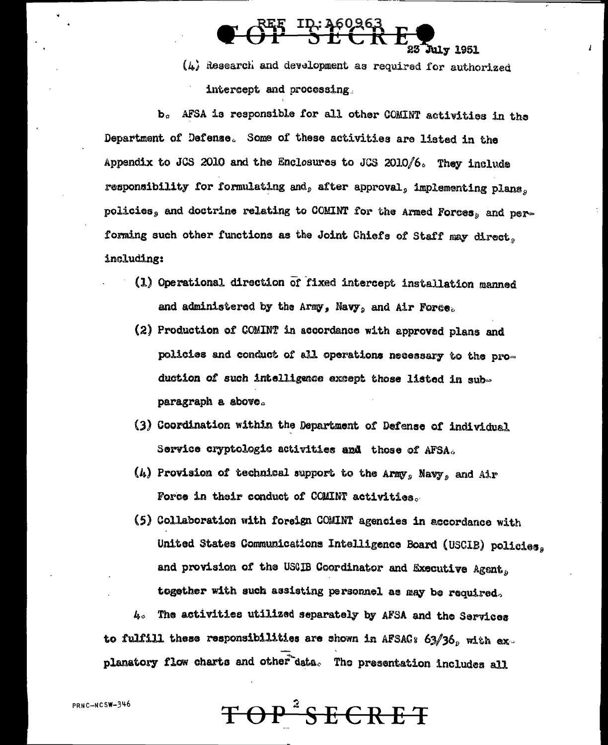.<br>July 1951 (L) Research and development as required for authorized intercept and processing.

**BEE ID: 460963**<br>**OP SECRE** 

b. AFSA is responsible for all other COMINT activities in the Department of Defense. Some of these activities are listed in the Appendix to JCS 2010 and the Enclosures to JCS 2010/6. They include responsibility for formulating and, after approval, implementing plans. nolicies, and doctrine relating to COMINT for the Armed Forces, and performing such other functions as the Joint Chiefs of Staff may direct. including:

- (1) Operational direction of fixed intercept installation manned and administered by the Army, Navy, and Air Force.
- (2) Production of COMINT in accordance with approved plans and policies and conduct of all operations necessary to the production of such intelligence except those listed in subparagraph a sbove.
- (3) Coordination within the Department of Defense of individual Service cryptologic activities and those of AFSA.
- $(h)$  Provision of technical support to the Army, Navy, and Air Force in their conduct of COMINT activities.
- (5) Collaboration with foreign COMINT agencies in accordance with United States Communications Intelligence Board (USCIB) policies. and provision of the USCIB Coordinator and Executive Agent. together with such assisting personnel as may be required.

4. The activities utilized separately by AFSA and the Services to fulfill these responsibilities are shown in AFSAC:  $63/36$ , with explanatory flow charts and other data. The presentation includes all

TOP<sup>2</sup>SECRET

PRNC-NCSW-346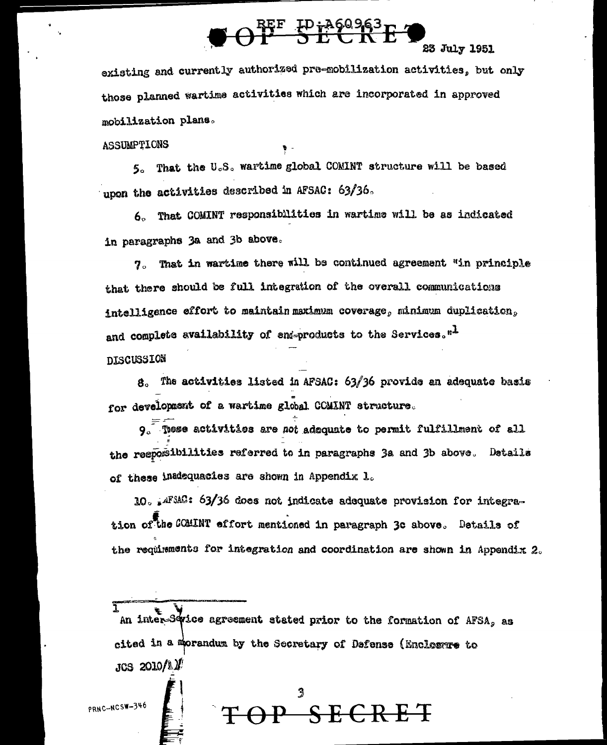# $\Theta$ <sup>REF</sup>  $F^{h860963}_{h}F^{4}$

### 23 July 1951

existing and currently authorized pre-mobilization activities, but only those planned wartime activities which are incorporated in approved mobilization plans.

**ASSUMPTIONS** 

5. That the U.S. wartime global COMINT structure will be based upon the activities described in AFSAC: 63/36.

6. That COMINT responsibilities in wartime will be as indicated in paragraphs 3a and 3b above.

7. That in wartime there will be continued agreement "in principle that there should be full integration of the overall communications intelligence effort to maintain maximum coverage, minimum duplication. and complete availability of end-products to the Services."<sup>1</sup> **DISCUSSION** 

 $8.$  The activities listed in AFSAC:  $63/36$  provide an adequate basis for development of a wartime global COMINT structure.

 $9.$  These activities are not adequate to permit fulfillment of all the resposibilities referred to in paragraphs 3a and 3b above. Details of these inadequacies are shown in Appendix 1.

10. AFSAC: 63/36 does not indicate adequate provision for integration of the COMINT effort mentioned in paragraph 3c above. Details of the requirements for integration and coordination are shown in Appendix 2.

An inter-Swice agreement stated prior to the formation of AFSA, as cited in a morandum by the Secretary of Defense (Enclosure to  $JCS$  2010/11/

 $\overline{\mathbb{C}\text{RET}}$ 

PRNC-NCSW-346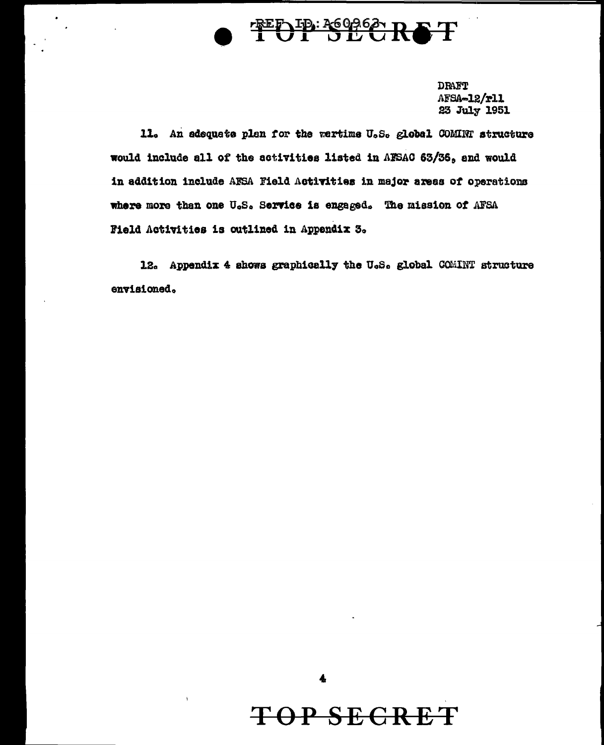

DRAFT AFSA-12/r11 23 July 1951

11. An adequate plan for the wartime U.S. global COMINT structure would include all of the activities listed in AFSAC 63/36, and would in addition include AFSA Field Activities in major areas of operations where more than one U.S. Service is engaged. The mission of AFSA Field Activities is outlined in Appendix 3.

12. Appendix 4 shows graphically the U.S. global COMINT structure envisioned.

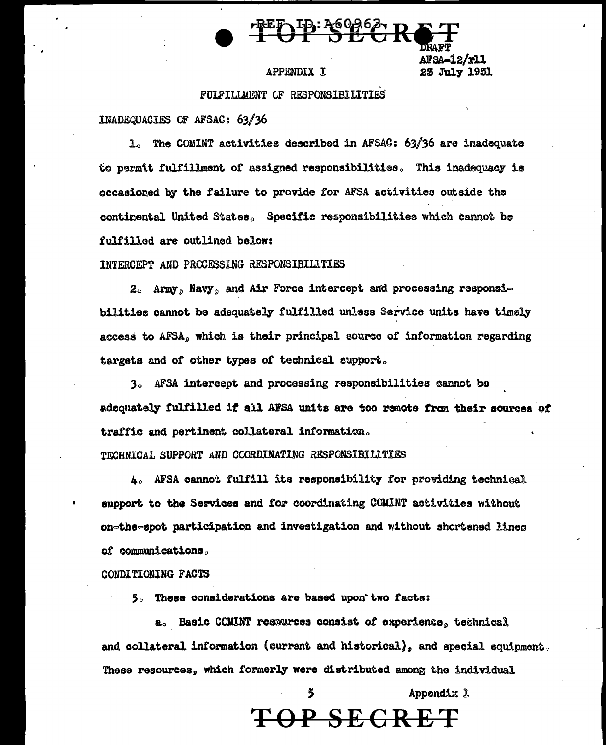

AFSA-12/rll 23 July 1951

### **APPENDIX I**

FULFILLMENT CF RESPONSIBILITIES

INADEQUACIES OF AFSAC: 63/36

1. The COMINT activities described in AFSAC: 63/36 are inadequate to permit fulfillment of assigned responsibilities. This inadequacy is occasioned by the failure to provide for AFSA activities outside the continental United States. Specific responsibilities which cannot be fulfilled are outlined below:

INTERCEPT AND PROCESSING RESPONSIBILITIES

2. Army, Navy, and Air Force intercept and processing responsibilities cannot be adequately fulfilled unless Service units have timely access to AFSA, which is their principal source of information regarding targets and of other types of technical support.

3. AFSA intercept and processing responsibilities cannot be adequately fulfilled if all AFSA units are too remote from their sources of traffic and pertinent collateral information.

TECHNICAL SUPPORT AND COORDINATING RESPONSIBILITIES

A. AFSA cannot fulfill its responsibility for providing technical support to the Services and for coordinating COMINT activities without on-the-spot participation and investigation and without shortened lines of communications.

CONDITIONING FACTS

5. These considerations are based upon two facts:

a. Basic COMINT researces consist of experience, technical and collateral information (current and historical), and special equipment. These resources, which formerly were distributed among the individual

> Appendix 1 TOP SEGRET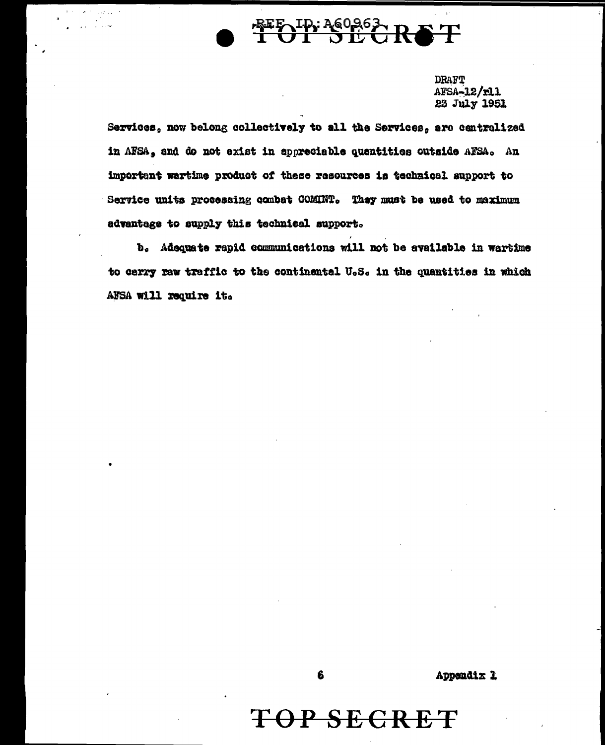

**DRAFT** AFSA-12/r11 23 July 1951

Services, now belong collectively to all the Services, are centralized in AFSA, and do not exist in appreciable quantities outside AFSA. An important wartime product of these resources is technical support to Service units processing combat COMINT. They must be used to maximum advantage to supply this technical support.

b. Adequate rapid communications will not be available in wartime to carry raw traffic to the continental U.S. in the quantities in which AFSA will require it.



## TOP SECRET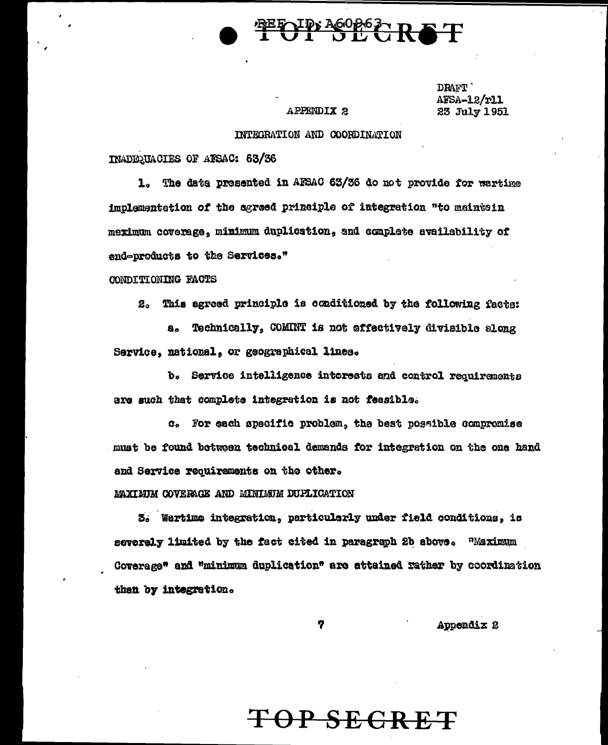## **FOID: A60863-RET**

### **APPENDIX 2**

DRAFT' AFSA-12/r11 23 July 1951

### INTEGRATION AND COORDINATION

INADED HACTES OF ATSAC: 63/36

1. The data presented in AFSAC 63/36 do not provide for wartime implementation of the agreed prizciple of integration "to maintain meximum coverage, minimum duplication, and complete availability of end-products to the Services."

CONDITIONING FACTS

2. This agreed principle is conditioned by the following facta:

Technically, COMINT is not effectively divisible along 8. Service, national, or geographical lines.

b. Service intelligence interests and control requirements are such that complete integration is not feasible.

c. For each specific problem, the best possible compromise must be found between technical demands for integration on the one hand and Service requirements on the other.

MAXIMIM COVERAGE AND MINIMUM DUFLICATION

3. Wartime integration, particularly under field conditions, is "Maximum severely limited by the fact cited in paragraph 2b above. Coverage" and "minimum duplication" are attained rather by coordination then by integration.

7

Appendix 2

### <del>TOP SECRET</del>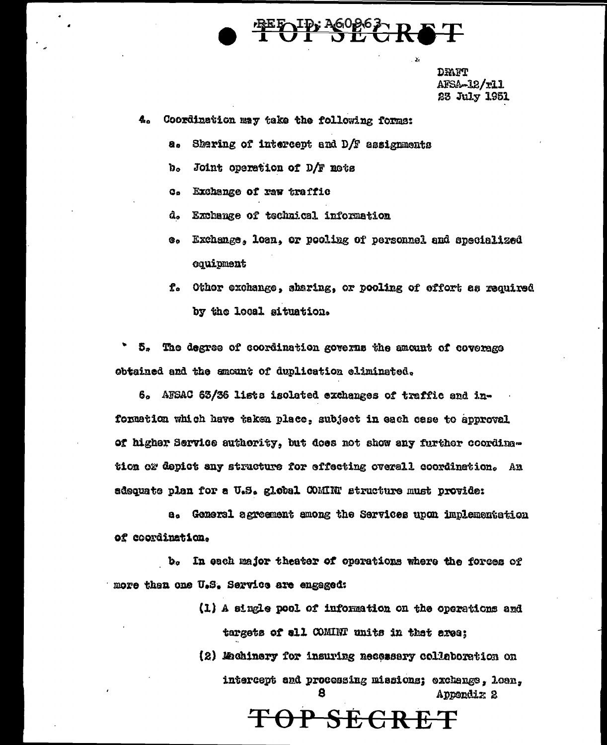

DRAFT AFSA-12/r11 23 July 1951

- $a_{\alpha}$ Coordination may take the following forms:
	- Sharing of intercept and D/F assignments 8.
	- $\mathbf{b}$ . Joint operation of D/F nots
	- Exchange of raw traffic  $G_{\alpha}$
	- d. Exchange of technical information
	- Exchange, loan, or pooling of personnel and specialized ை oquipment
	- f. Othor exchange, sharing, or pooling of effort as required by the local situation.

5. The degree of coordination governs the amount of coverage obtained and the ancunt of duplication eliminated.

6. AFSAC 63/36 lists isolated exchanges of traffic and information which have taken place, subject in each case to approval of higher Service authority, but does not show any further coordingtion or depict any structure for effecting overall coordination. An sdequate plan for a U.S. global COMINT structure must provide:

a. General agreement among the Services upon implementation of coordination.

In each major theater of operations where the forces of  $\mathbf{b}_\alpha$ more then one U.S. Service are engaged:

- (1) A single pool of information on the operations and targets of all COMINT units in that area;
- (2) Mahinery for insuring necessary collaboration on intercept and processing missions; exchange, loan, 8. Appendix 2

TOP SECRET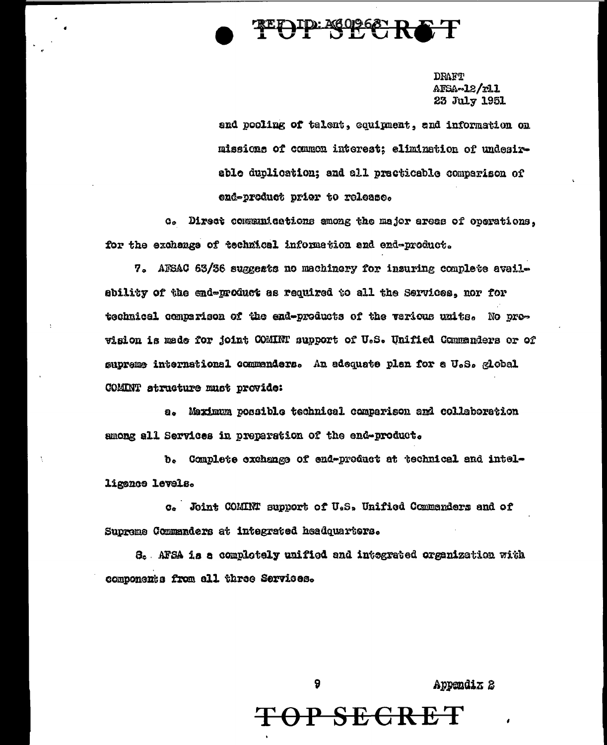

**DRAFT** AFSA~12/r11 23 July 1951

and pooling of talent, equipment, and information on missions of common interest: elimination of undesirable duplication; and all practicable comparison of end-product prior to release.

c. Direct communications among the major areas of operations. for the exchange of technical information and end-product.

7. AFSAC 63/36 suggests no machinery for insuring complete availability of the end-product as required to all the Services, nor for technical comparison of the end-products of the vericus units. No provision is made for joint COMINT support of U.S. Unified Commanders or of supreme international commenders. An adequate plan for a U.S. global COMINT structure must provide:

a. Maximum possible technical comparison and collaboration among all Services in preparation of the end-product.

b. Complete exchange of end-product at technical and intelligence levels.

c. Joint COMINT support of U.S. Unified Commanders and of Supreme Commanders at integrated headquarters.

8. AFSA is a complotely unified and integrated organization with components from all three Services.

Appendix 2

### <del>TOP SECRET</del>

9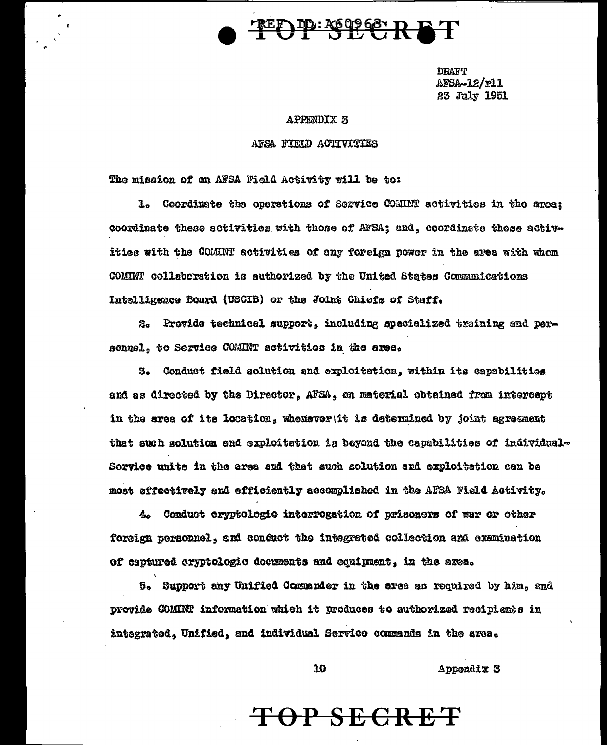## **TOPESTORET**

**DRAFT** AFSA-12/r11 23 July 1951

### **APPENDIX 3**

### AFSA FIELD ACTIVITIES

The mission of an AFSA Field Activity will be to:

1. Coordinate the operations of Service COMINT activities in the area; coordinate these activities with those of AFSA; and, coordinate these activities with the COMINT activities of any foreign power in the area with whom COMINT collaboration is authorized by the United States Communications Intelligence Board (USCIB) or the Joint Chiefs of Staff.

2. Provide technical support, including specialized training and personnel, to Service COMINT activities in the area.

3. Conduct field solution and exploitation, within its capabilities and as directed by the Director, AFSA, on material obtained from intercept in the area of its location, whenever it is determined by joint agreement that such solution and exploitation is beyond the capabilities of individual-Sorvice unite in the area and that such solution and exploitation can be most effectively and efficiently accomplished in the AFSA Field Activity.

4. Conduct cryptologic interrogation of prisoners of war or other foreign personnel, and conduct the integrated collection and examination of captured cryptologic documents and equipment, in the area.

5. Support any Unified Commander in the area as required by him, and provide COMINT information which it produces to authorized recipients in integrated, Unified, and individual Service commands in the area.

Appendix 3

### TOP SECRET

10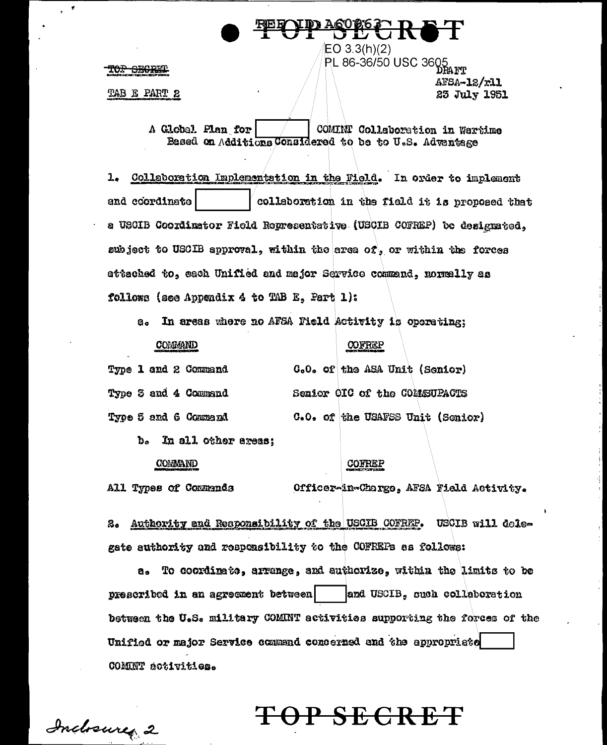TO<del>P SECRET</del>

TAB E PART 2

**PL 86-36/50 USC 3605**<br>PL 86-36/50 USC 3605 AFSA-12/r11 23 July 1951

A Global Plan for COMINT Collaboration in Wartime Based on Additions Considered to be to U.S. Advantage

 $EO 3.3(h)(2)$ 

1. Collaboration Implementation in the Field. In order to implement and coordinate collaboration in the field it is proposed that a USCIB Coordinator Field Representative (USCIB COFREP) be designated, subject to USCIB approval, within the area of, or within the forces attached to, each Unified and major Service commend, normally as follows (see Appendix 4 to TAB E, Part 1):

a. In areas where no AFSA Field Activity is operating:

### COMMAND

### **COFREP**

|  |  | Type 1 and 2 Command |  |  |  | G.O. of the ASA Unit (Senior)    |
|--|--|----------------------|--|--|--|----------------------------------|
|  |  | Type 3 and 4 Command |  |  |  | Senior OIC of the COMESUPACTS    |
|  |  | Type 5 and 6 Command |  |  |  | C.O. of the USAFSS Unit (Senior) |

b. In all other areas:

### COMMAND

All Types of Commands

#### COFREP

Officer-in-Charge, AFSA Field Activity.

P SECRET

2. Authority and Responsibility of the USCIB COFREP. USCIB will delegate authority and responsibility to the COFREPs as follows:

a. To coordinate, arrange, and authorize, within the limits to be prescribed in an agreement between and USCIB, such collaboration between the U.S. military COMINT activities supporting the forces of the Unified or major Service command concerned and the appropriate COMINT activities.

Indoney 2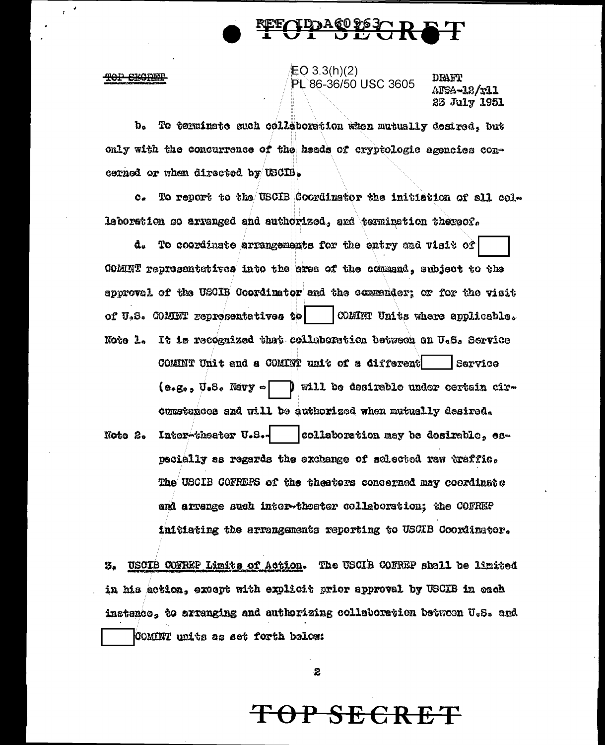

#### TOP EEGREE

 $EO 3.3(h)(2)$ PL 86-36/50 USC 3605

**DRAFT** AFSA-12/r11 23 July 1951

To terminate such collaboration when mutually desired, but  $\mathbf{b}$ only with the concurrence of the heads of cryptologic agencies concerned or when directed by USCIB.

c. To report to the USCIB Coordinator the initiation of all collaboration so arranged and authorized, and termination thereof.

d. To coordinate arrangements for the entry and visit of COMINT representatives into the erea of the command, subject to the approval of the USCIB Coordinator and the commender; or for the visit of U.S. COMINT representatives to  $\vert$  COMINT Units where applicable. Note 1. It is recognized that collaboration between an U.S. Service COMINT Unit and a COMINT unit of a different Service  $(e_1e_2, U_2e_2, Navy \sim \Box$  will be desirable under certain circumstances and will be authorized when mutually desired. Inter-theater U.S.collaboration may be desirable. es-Note 2. pecially as regards the exchange of selected raw traffic. The USCIB COFREPS of the theaters concerned may coordinate end arrange such inter-theater collaboration; the COFREP initiating the arrangements reporting to USCIB Coordinator.

USCIB COFREP Limits of Action. The USCIB COFREP shall be limited З. in his action, except with explicit prior approval by USCIB in each instance, to arranging and authorizing collaboration betwoon U.S. and COMINT units as set forth below:

2

### <del>P SECRE</del>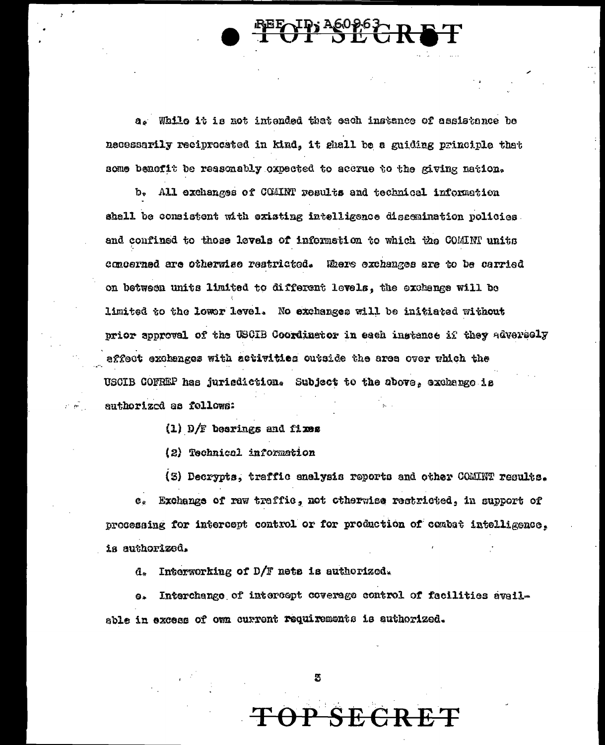**UT SECR** 

a. While it is not intended that each instance of assistance be necessarily reciprocated in kind, it shall be a guiding principle that some benefit be reasonably oxpected to accrue to the giving nation.

b. All exchanges of COMINT results and technical information shall be consistent with existing intelligence dissemination policies. and confined to those levels of information to which the COMINP units concerned are otherwise restricted. Where exchanges are to be carried on between units limited to different levels, the exchange will be limited to the lower level. No exchanges will be initiated without prior approval of the USCIB Coordinator in each instance if they adversely affect exchanges with activities cutside the area over which the USCIB COFREP has jurisdiction. Subject to the above, exchange is authorized as follows:

 $(1)$  D/F bearings and fixes

 $\mathcal{E}^{\mathcal{E}}(\mathcal{B}^{\mathcal{E}})$  .

(2) Technical information

(3) Decrypts, traffic enelysis reports and other COMINT results.

Exchange of raw traffic, not otherwise restricted, in support of  $\mathbf{c}$ . processing for intercept control or for production of combat intelligence. is authorized.

 $d_*$  Interworking of D/F nets is authorized.

Interchange of interespt coverage control of facilities avail- $\mathbf{a}$ able in excess of own current requirements is authorized.

<del>SECR</del>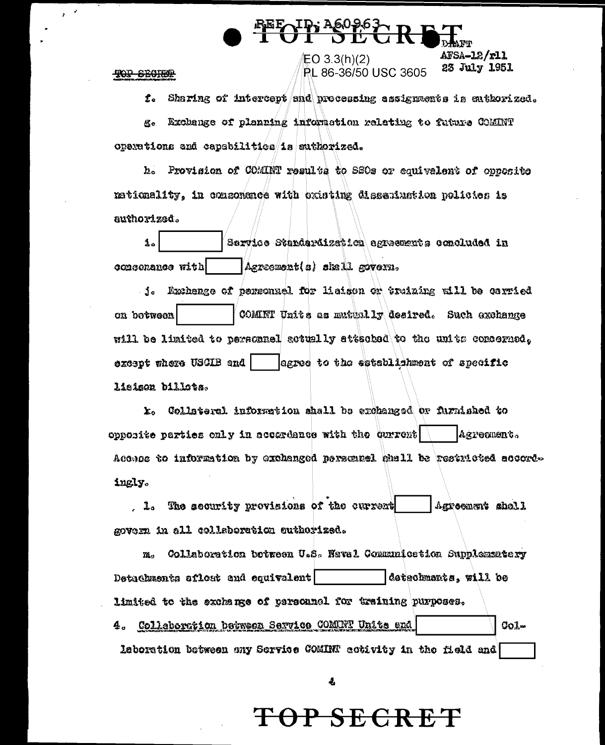**TOP SECTION** 

 $\lambda$ 

Sharing of intercept and processing assignments is enthorized.  $\mathbf{f}$ . Exchange of planning information relating to future COMINT టిం operations and capabilities is suthorized.

<u>ID, A6096</u>

EO 3.3(h)(2)

**PL 86-36/50 USC 3605** 

AFSA-12/r11

23 July 1951

h. Provision of COMINT results to SSOs or equivalent of opposite nationality, in componence with existing dissemination policies is authorizad.

i. Sarvice Standardization agreements concluded in consenance with Agreement(a) shall govern.

f. Exchange of parsonnel for lisison or truizing will be carried ca botween COMINT Units as mutually desired. Such exchange will be limited to personael sotually attached to the units concerned. earse to the establishment of specific except where USCIB and I lisison billots.

k. Collateral information shall be erchanged or furnished to opposite parties only in accardance with the current  $\backslash$ Agreement. Access to information by exchanged persensel mell be restricted accordingly.

1. The security provisions of the current Agreement shell govern in all collaboration suthorized.

Collaboration botween U.S. Neval Communication Supplementary m. detachments, will be Detachments aflost and equivalent limited to the exchange of parsonnel for training purposes. 4. Collaboration between Service COMUNT Units end  $001$ laboration between any Service COMINT activity in the field and

4

### OP SECRET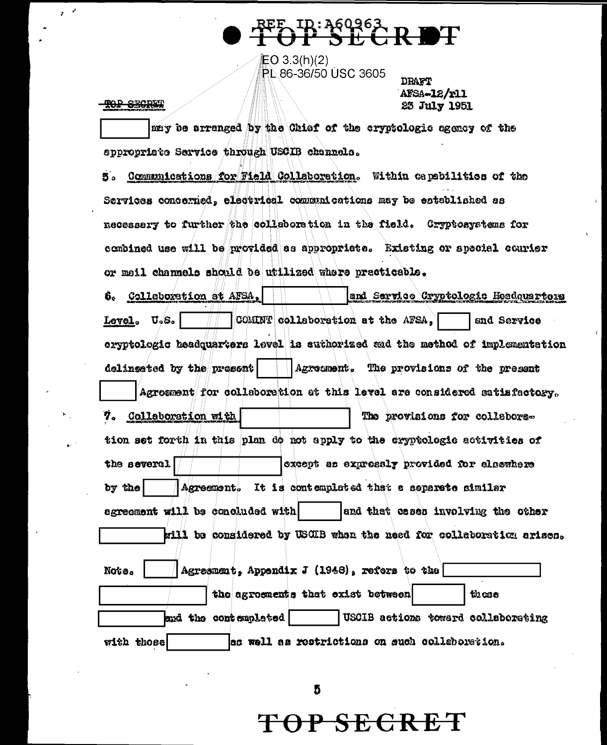**上〇** 3.3(h)(2) PL 86-36/50 USC 3605

### TOP SECRET

 $\mathcal{A}$  $\mathbf{r}$ 

> **DRAFT** AFSA-12/r11 23 July 1951

may be arranged by the Chiaf of the cryptologic egency of the appropriate Service through USCIB channels.

S. Communications for Field Collaboration. Within capabilities of the Services concerned, electrical communications may be established as necessary to further the collaboration in the field. Gryptosystems for combined use will be provided as appropriate. Existing or special courier or meil channels should be utilized where practicable.

and Sarvice Cryptologic Headquarters Collaboration at AFSA, 6. COMINT collaboration at the AFSA, Level. U.S. and Service eryptologic beadquarters level is suthorized and the method of implementation Agreement. The provisions of the present delinsated by the present! Agroement for collaboration at this level are considered satisfactory. 7. Collaboration with The provisions for collabors. tion set forth in this plan do not apply to the cryptologic activities of the several except as expressly provided for electhere Agreement. It is contemplated that a separate similar by the agreement will be concluded with and that cases involving the other will be considered by USCIB when the need for colleboration arises.

| Note.      | $ $ Agreement, Appendix J (1948), refers to the $\lceil$ |                                   |                                                |
|------------|----------------------------------------------------------|-----------------------------------|------------------------------------------------|
|            |                                                          | the agreements that exist between | these                                          |
|            | and the contemplated                                     |                                   | USCIB actions toward collaborating             |
| with those |                                                          |                                   | as well as restrictions on such collaboration. |

<del>TOP SECRET</del>